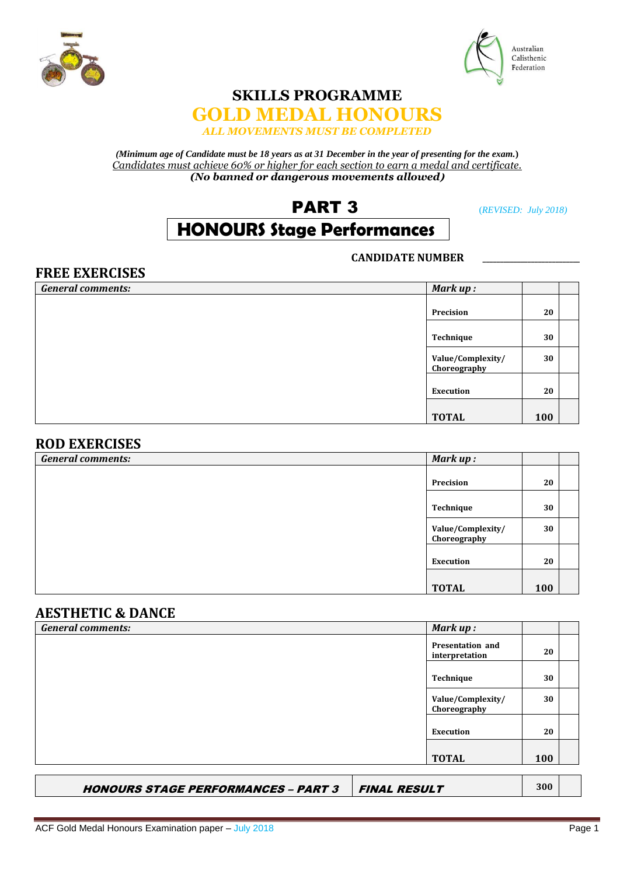



## **SKILLS PROGRAMME**



*(Minimum age of Candidate must be 18 years as at 31 December in the year of presenting for the exam.***)** *Candidates must achieve 60% or higher for each section to earn a medal and certificate. (No banned or dangerous movements allowed***)**

## PART 3(*REVISED: July 2018)*

# **HONOURS Stage Performances**

#### **CANDIDATE NUMBER \_\_\_\_\_\_\_\_\_\_\_\_\_\_\_\_\_\_\_\_\_\_\_\_\_\_\_\_**

### **FREE EXERCISES** *General comments: Mark up :* Precision 20 Technique 30 **Value/Complexity/ Choreography 30** Execution 20 **TOTAL 100**

#### **ROD EXERCISES**

| <b>General comments:</b> | Mark up:          |     |  |
|--------------------------|-------------------|-----|--|
|                          |                   |     |  |
|                          | Precision         | 20  |  |
|                          |                   |     |  |
|                          | Technique         | 30  |  |
|                          | Value/Complexity/ | 30  |  |
|                          | Choreography      |     |  |
|                          |                   |     |  |
|                          | Execution         | 20  |  |
|                          |                   |     |  |
|                          | <b>TOTAL</b>      | 100 |  |

### **AESTHETIC & DANCE**

| <b>General comments:</b> | Mark up:                                  |     |  |
|--------------------------|-------------------------------------------|-----|--|
|                          | <b>Presentation and</b><br>interpretation | 20  |  |
|                          | Technique                                 | 30  |  |
|                          | Value/Complexity/<br>Choreography         | 30  |  |
|                          | Execution                                 | 20  |  |
|                          | <b>TOTAL</b>                              | 100 |  |
|                          |                                           |     |  |

HONOURS STAGE PERFORMANCES – PART 3 FINAL RESULT **300**